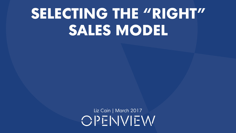# **SELECTING THE "RIGHT" SALES MODEL**

Liz Cain | March 2017OPFNVFW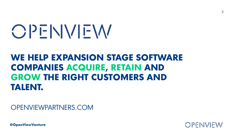# OPENVEW

## **WE HELP EXPANSION STAGE SOFTWARE COMPANIES ACQUIRE, RETAIN AND GROW THE RIGHT CUSTOMERS AND TALENT.**

#### OPENVIEWPARTNERS.COM

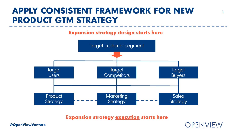#### **APPLY CONSISTENT FRAMEWORK FOR NEW 33 PRODUCT GTM STRATEGY**

**Expansion strategy design starts here**



**Expansion strategy execution starts here**

**OPENNEW** 

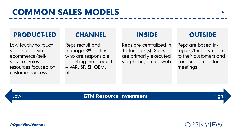#### **PRODUCT-LED**

Low touch/no touch sales model via ecommerce/selfservice. Sales resources focused on customer success

#### **CHANNEL**

Reps recruit and manage 3rd parties who are responsible for selling the product – VAR, SP, SI, OEM, etc…

#### **INSIDE**

Reps are centralized in 1+ location(s). Sales are primarily executed via phone, email, web

#### **OUTSIDE**

Reps are based inregion/territory close to their customers and conduct face to face meetings

**OPENNEW** 

#### Low **GTM Resource Investment** High

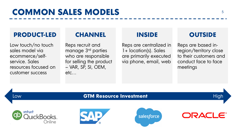#### **PRODUCT-LED**

Low touch/no touch sales model via ecommerce/selfservice. Sales resources focused on customer success

#### **CHANNEL**

Reps recruit and manage 3rd parties who are responsible for selling the product – VAR, SP, SI, OEM, etc…

#### **INSIDE**

Reps are centralized in 1+ location(s). Sales are primarily executed via phone, email, web

#### **OUTSIDE**

Reps are based inregion/territory close to their customers and conduct face to face meetings

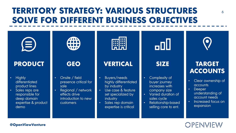## **TERRITORY STRATEGY: VARIOUS STRUCTURES** <sup>6</sup> **SOLVE FOR DIFFERENT BUSINESS OBJECTIVES**



#### **@OpenViewVenture**

#### **OPENNEW**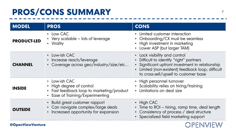## PROS/CONS SUMMARY

| <b>MODEL</b>            | <b>PROS</b>                                                                                                                | <b>CONS</b>                                                                                                                                                                                                                                     |
|-------------------------|----------------------------------------------------------------------------------------------------------------------------|-------------------------------------------------------------------------------------------------------------------------------------------------------------------------------------------------------------------------------------------------|
| <b>PRODUCT-LED</b>      | • Low CAC<br>• Very scalable – lots of leverage<br>• Virality                                                              | • Limited customer interaction<br>Onboarding/CX must be seamless<br>$\bullet$<br>• High investment in marketing<br>• Lower ASP (but larger TAM)                                                                                                 |
| <b>CHANNEL</b>          | • Low-ish CAC<br>• Increase reach/leverage<br>• Coverage across geo/industry/size/etc                                      | • Lack visibility and control<br>Difficult to identify "right" partners<br>$\bullet$<br>Significant upfront investment in relationship<br>$\bullet$<br>Limited (non-existent) feedback loop; difficult<br>to cross-sell/upsell to customer base |
| <b>INSIDE</b>           | • Low-ish CAC<br>• High degree of control<br>• Fast feedback loop to marketing/product<br>• Ease of Training/Experimenting | • High personnel turnover<br>• Scalability relies on hiring/training<br>Limitations on deal size                                                                                                                                                |
| <b>OUTSIDE</b>          | • Build great customer rapport<br>• Can navigate complex/large deals<br>• Increased opportunity for expansion              | $\cdot$ High CAC<br>• Time to ROI - hiring, ramp time, deal length<br>• Consistency of process / deal structure<br>• Specialized field marketing support                                                                                        |
| <b>@OpenViewVenture</b> |                                                                                                                            |                                                                                                                                                                                                                                                 |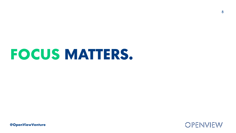## **FOCUS MATTERS.**